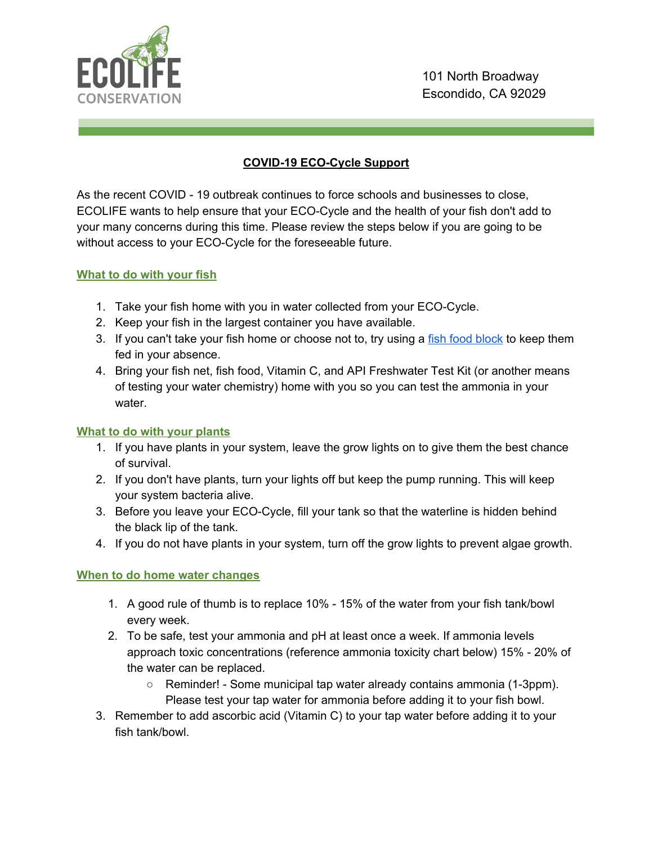

## **COVID-19 ECO-Cycle Support**

As the recent COVID - 19 outbreak continues to force schools and businesses to close, ECOLIFE wants to help ensure that your ECO-Cycle and the health of your fish don't add to your many concerns during this time. Please review the steps below if you are going to be without access to your ECO-Cycle for the foreseeable future.

## **What to do with your fish**

- 1. Take your fish home with you in water collected from your ECO-Cycle.
- 2. Keep your fish in the largest container you have available.
- 3. If you c[a](https://smile.amazon.com/API-VACATION-PYRAMID-1-2-Ounce-Automatic/dp/B00025Z66G/ref=sr_1_3?keywords=fish+food+block&qid=1584400531&sr=8-3)n't take your fish home or choose not to, try using a fish food [block](https://smile.amazon.com/API-VACATION-PYRAMID-1-2-Ounce-Automatic/dp/B00025Z66G/ref=sr_1_3?keywords=fish+food+block&qid=1584400531&sr=8-3) to keep them fed in your absence.
- 4. Bring your fish net, fish food, Vitamin C, and API Freshwater Test Kit (or another means of testing your water chemistry) home with you so you can test the ammonia in your water.

## **What to do with your plants**

- 1. If you have plants in your system, leave the grow lights on to give them the best chance of survival.
- 2. If you don't have plants, turn your lights off but keep the pump running. This will keep your system bacteria alive.
- 3. Before you leave your ECO-Cycle, fill your tank so that the waterline is hidden behind the black lip of the tank.
- 4. If you do not have plants in your system, turn off the grow lights to prevent algae growth.

## **When to do home water changes**

- 1. A good rule of thumb is to replace 10% 15% of the water from your fish tank/bowl every week.
- 2. To be safe, test your ammonia and pH at least once a week. If ammonia levels approach toxic concentrations (reference ammonia toxicity chart below) 15% - 20% of the water can be replaced.
	- Reminder! Some municipal tap water already contains ammonia (1-3ppm). Please test your tap water for ammonia before adding it to your fish bowl.
- 3. Remember to add ascorbic acid (Vitamin C) to your tap water before adding it to your fish tank/bowl.